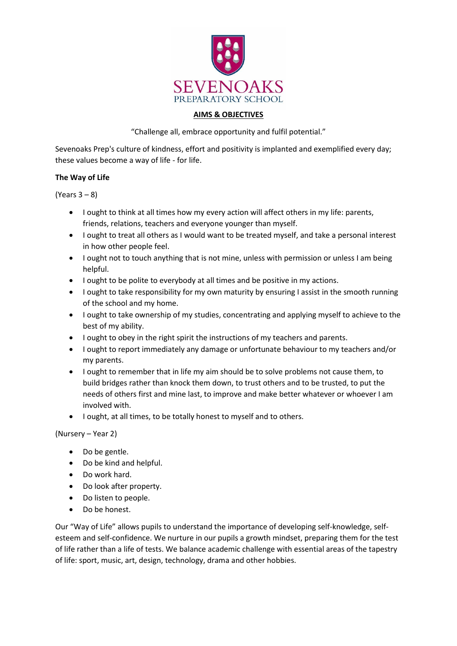

## **AIMS & OBJECTIVES**

"Challenge all, embrace opportunity and fulfil potential."

Sevenoaks Prep's culture of kindness, effort and positivity is implanted and exemplified every day; these values become a way of life - for life.

## **The Way of Life**

(Years 3 – 8)

- I ought to think at all times how my every action will affect others in my life: parents, friends, relations, teachers and everyone younger than myself.
- I ought to treat all others as I would want to be treated myself, and take a personal interest in how other people feel.
- I ought not to touch anything that is not mine, unless with permission or unless I am being helpful.
- I ought to be polite to everybody at all times and be positive in my actions.
- I ought to take responsibility for my own maturity by ensuring I assist in the smooth running of the school and my home.
- I ought to take ownership of my studies, concentrating and applying myself to achieve to the best of my ability.
- I ought to obey in the right spirit the instructions of my teachers and parents.
- I ought to report immediately any damage or unfortunate behaviour to my teachers and/or my parents.
- I ought to remember that in life my aim should be to solve problems not cause them, to build bridges rather than knock them down, to trust others and to be trusted, to put the needs of others first and mine last, to improve and make better whatever or whoever I am involved with.
- I ought, at all times, to be totally honest to myself and to others.

(Nursery – Year 2)

- Do be gentle.
- Do be kind and helpful.
- Do work hard.
- Do look after property.
- Do listen to people.
- Do be honest.

Our "Way of Life" allows pupils to understand the importance of developing self-knowledge, selfesteem and self-confidence. We nurture in our pupils a growth mindset, preparing them for the test of life rather than a life of tests. We balance academic challenge with essential areas of the tapestry of life: sport, music, art, design, technology, drama and other hobbies.